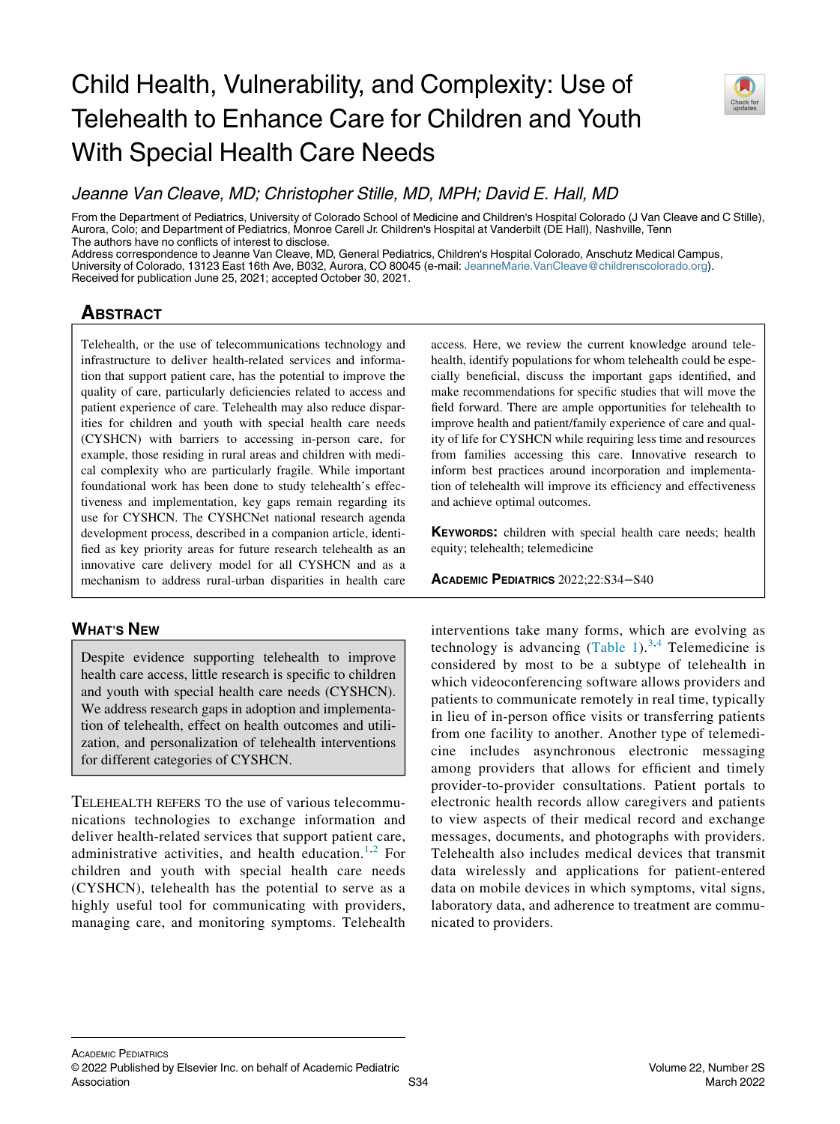# Child Health, Vulnerability, and Complexity: Use of Telehealth to Enhance Care for Children and Youth With Special Health Care Needs



Jeanne Van Cleave, MD; Christopher Stille, MD, MPH; David E. Hall, MD

From the Department of Pediatrics, University of Colorado School of Medicine and Children's Hospital Colorado (J Van Cleave and C Stille), Aurora, Colo; and Department of Pediatrics, Monroe Carell Jr. Children's Hospital at Vanderbilt (DE Hall), Nashville, Tenn The authors have no conflicts of interest to disclose.

Address correspondence to Jeanne Van Cleave, MD, General Pediatrics, Children's Hospital Colorado, Anschutz Medical Campus, University of Colorado, 13123 East 16th Ave, B032, Aurora, CO 80045 (e-mail: [JeanneMarie.VanCleave@childrenscolorado.org\)](mailto:JeanneMarie.VanCleave@childrenscolorado.org). Received for publication June 25, 2021; accepted October 30, 2021.

## **ABSTRACT**

Telehealth, or the use of telecommunications technology and infrastructure to deliver health-related services and information that support patient care, has the potential to improve the quality of care, particularly deficiencies related to access and patient experience of care. Telehealth may also reduce disparities for children and youth with special health care needs (CYSHCN) with barriers to accessing in-person care, for example, those residing in rural areas and children with medical complexity who are particularly fragile. While important foundational work has been done to study telehealth's effectiveness and implementation, key gaps remain regarding its use for CYSHCN. The CYSHCNet national research agenda development process, described in a companion article, identified as key priority areas for future research telehealth as an innovative care delivery model for all CYSHCN and as a mechanism to address rural-urban disparities in health care

## WHAT'S NEW

Despite evidence supporting telehealth to improve health care access, little research is specific to children and youth with special health care needs (CYSHCN). We address research gaps in adoption and implementation of telehealth, effect on health outcomes and utilization, and personalization of telehealth interventions for different categories of CYSHCN.

TELEHEALTH REFERS TO the use of various telecommunications technologies to exchange information and deliver health-related services that support patient care, administrative activities, and health education.<sup>[1,](#page-6-0)[2](#page-6-1)</sup> For children and youth with special health care needs (CYSHCN), telehealth has the potential to serve as a highly useful tool for communicating with providers, managing care, and monitoring symptoms. Telehealth access. Here, we review the current knowledge around telehealth, identify populations for whom telehealth could be especially beneficial, discuss the important gaps identified, and make recommendations for specific studies that will move the field forward. There are ample opportunities for telehealth to improve health and patient/family experience of care and quality of life for CYSHCN while requiring less time and resources from families accessing this care. Innovative research to inform best practices around incorporation and implementation of telehealth will improve its efficiency and effectiveness and achieve optimal outcomes.

KEYWORDS: children with special health care needs; health equity; telehealth; telemedicine

ACADEMIC PEDIATRICS 2022;22:S34−S40

interventions take many forms, which are evolving as technology is advancing  $(Table 1)$  $(Table 1)$  $(Table 1)$ .<sup>[3](#page-6-2)[,4](#page-6-3)</sup> Telemedicine is considered by most to be a subtype of telehealth in which videoconferencing software allows providers and patients to communicate remotely in real time, typically in lieu of in-person office visits or transferring patients from one facility to another. Another type of telemedicine includes asynchronous electronic messaging among providers that allows for efficient and timely provider-to-provider consultations. Patient portals to electronic health records allow caregivers and patients to view aspects of their medical record and exchange messages, documents, and photographs with providers. Telehealth also includes medical devices that transmit data wirelessly and applications for patient-entered data on mobile devices in which symptoms, vital signs, laboratory data, and adherence to treatment are communicated to providers.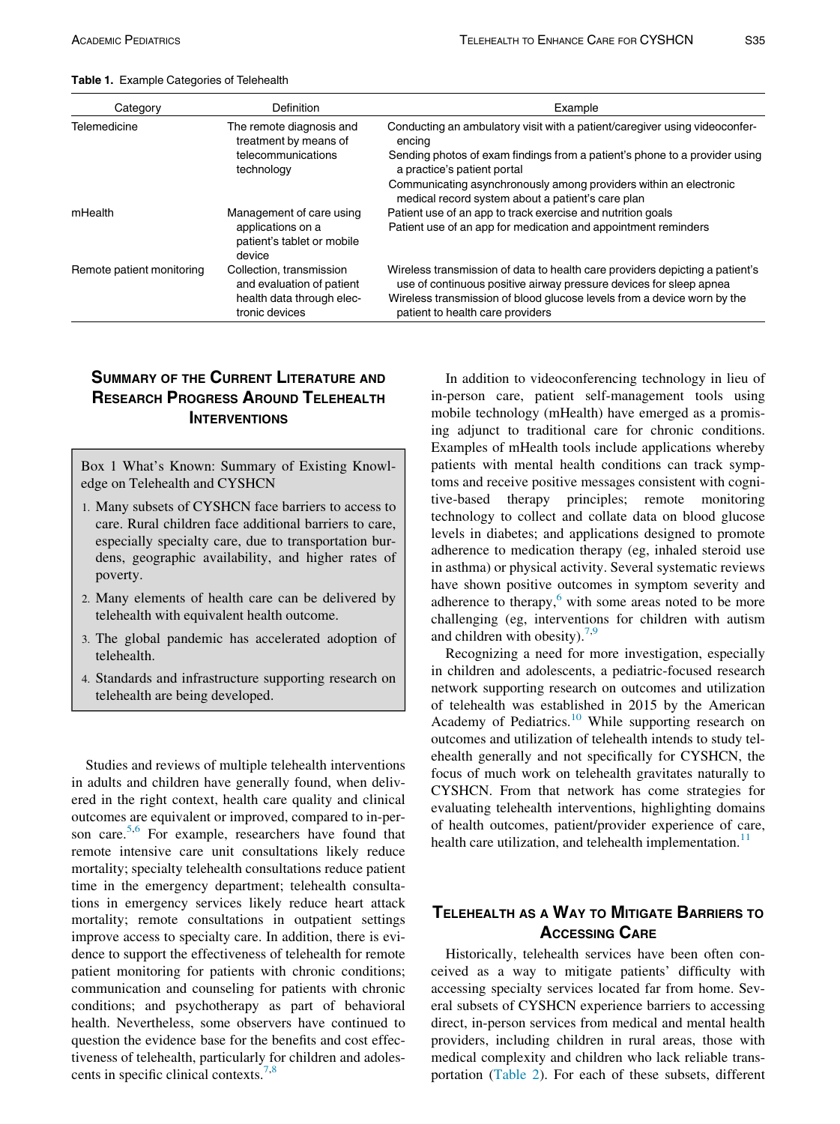| Category                  | Definition                                                | Example                                                                                                                                            |
|---------------------------|-----------------------------------------------------------|----------------------------------------------------------------------------------------------------------------------------------------------------|
| Telemedicine              | The remote diagnosis and<br>treatment by means of         | Conducting an ambulatory visit with a patient/caregiver using videoconfer-<br>encing                                                               |
|                           | telecommunications<br>technology                          | Sending photos of exam findings from a patient's phone to a provider using<br>a practice's patient portal                                          |
|                           |                                                           | Communicating asynchronously among providers within an electronic<br>medical record system about a patient's care plan                             |
| mHealth                   | Management of care using                                  | Patient use of an app to track exercise and nutrition goals                                                                                        |
|                           | applications on a<br>patient's tablet or mobile<br>device | Patient use of an app for medication and appointment reminders                                                                                     |
| Remote patient monitoring | Collection, transmission<br>and evaluation of patient     | Wireless transmission of data to health care providers depicting a patient's<br>use of continuous positive airway pressure devices for sleep apnea |
|                           | health data through elec-<br>tronic devices               | Wireless transmission of blood glucose levels from a device worn by the<br>patient to health care providers                                        |

<span id="page-1-0"></span>Table 1. Example Categories of Telehealth

## SUMMARY OF THE CURRENT LITERATURE AND RESEARCH PROGRESS AROUND TELEHEALTH **INTERVENTIONS**

Box 1 What's Known: Summary of Existing Knowledge on Telehealth and CYSHCN

- 1. Many subsets of CYSHCN face barriers to access to care. Rural children face additional barriers to care, especially specialty care, due to transportation burdens, geographic availability, and higher rates of poverty.
- 2. Many elements of health care can be delivered by telehealth with equivalent health outcome.
- 3. The global pandemic has accelerated adoption of telehealth.
- 4. Standards and infrastructure supporting research on telehealth are being developed.

Studies and reviews of multiple telehealth interventions in adults and children have generally found, when delivered in the right context, health care quality and clinical outcomes are equivalent or improved, compared to in-per-son care.<sup>5,[6](#page-6-5)</sup> For example, researchers have found that remote intensive care unit consultations likely reduce mortality; specialty telehealth consultations reduce patient time in the emergency department; telehealth consultations in emergency services likely reduce heart attack mortality; remote consultations in outpatient settings improve access to specialty care. In addition, there is evidence to support the effectiveness of telehealth for remote patient monitoring for patients with chronic conditions; communication and counseling for patients with chronic conditions; and psychotherapy as part of behavioral health. Nevertheless, some observers have continued to question the evidence base for the benefits and cost effectiveness of telehealth, particularly for children and adolescents in specific clinical contexts.[7](#page-6-6)[,8](#page-6-7)

In addition to videoconferencing technology in lieu of in-person care, patient self-management tools using mobile technology (mHealth) have emerged as a promising adjunct to traditional care for chronic conditions. Examples of mHealth tools include applications whereby patients with mental health conditions can track symptoms and receive positive messages consistent with cognitive-based therapy principles; remote monitoring technology to collect and collate data on blood glucose levels in diabetes; and applications designed to promote adherence to medication therapy (eg, inhaled steroid use in asthma) or physical activity. Several systematic reviews have shown positive outcomes in symptom severity and adherence to therapy, $6$  with some areas noted to be more challenging (eg, interventions for children with autism and children with obesity).<sup>7,[9](#page-6-8)</sup>

Recognizing a need for more investigation, especially in children and adolescents, a pediatric-focused research network supporting research on outcomes and utilization of telehealth was established in 2015 by the American Academy of Pediatrics.<sup>[10](#page-6-9)</sup> While supporting research on outcomes and utilization of telehealth intends to study telehealth generally and not specifically for CYSHCN, the focus of much work on telehealth gravitates naturally to CYSHCN. From that network has come strategies for evaluating telehealth interventions, highlighting domains of health outcomes, patient/provider experience of care, health care utilization, and telehealth implementation.<sup>[11](#page-6-10)</sup>

## TELEHEALTH AS A WAY TO MITIGATE BARRIERS TO ACCESSING CARE

Historically, telehealth services have been often conceived as a way to mitigate patients' difficulty with accessing specialty services located far from home. Several subsets of CYSHCN experience barriers to accessing direct, in-person services from medical and mental health providers, including children in rural areas, those with medical complexity and children who lack reliable transportation ([Table 2\)](#page-2-0). For each of these subsets, different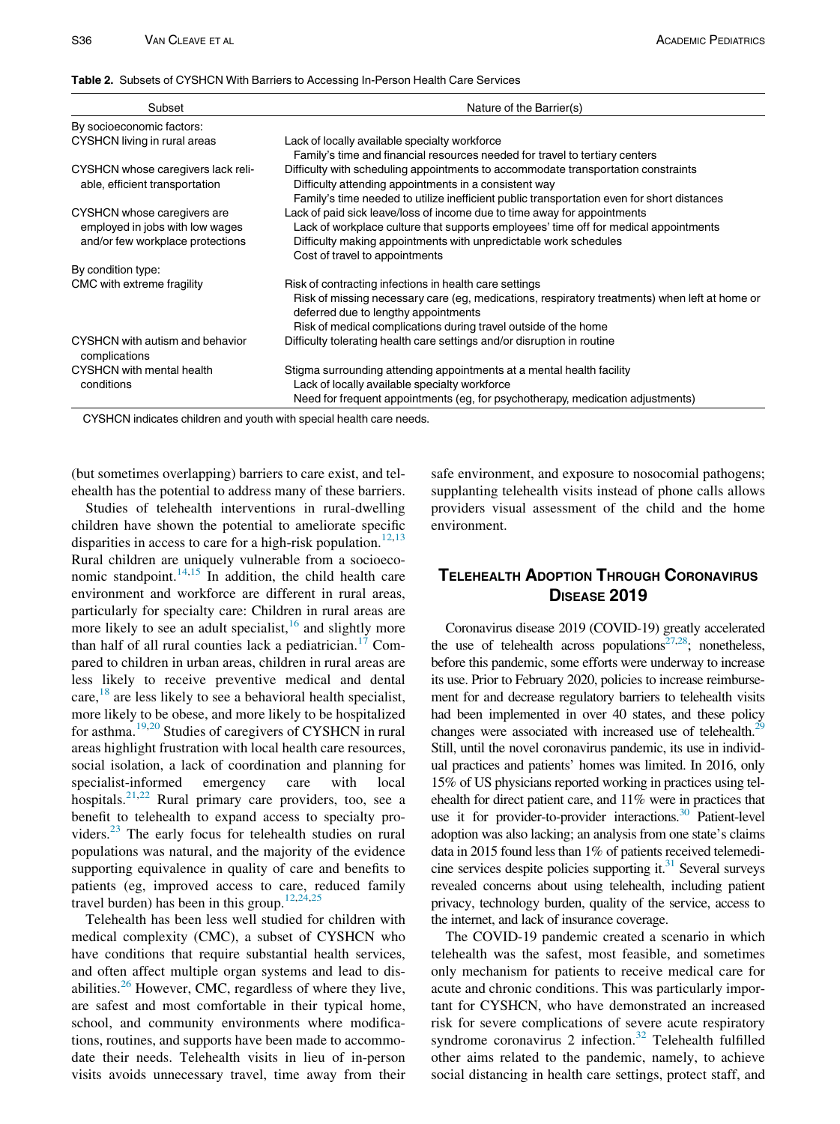#### <span id="page-2-0"></span>Table 2. Subsets of CYSHCN With Barriers to Accessing In-Person Health Care Services

| Subset                                                                                             | Nature of the Barrier(s)                                                                                                                                                                                                                                               |
|----------------------------------------------------------------------------------------------------|------------------------------------------------------------------------------------------------------------------------------------------------------------------------------------------------------------------------------------------------------------------------|
| By socioeconomic factors:                                                                          |                                                                                                                                                                                                                                                                        |
| CYSHCN living in rural areas                                                                       | Lack of locally available specialty workforce<br>Family's time and financial resources needed for travel to tertiary centers                                                                                                                                           |
| CYSHCN whose caregivers lack reli-<br>able, efficient transportation                               | Difficulty with scheduling appointments to accommodate transportation constraints<br>Difficulty attending appointments in a consistent way<br>Family's time needed to utilize inefficient public transportation even for short distances                               |
| CYSHCN whose caregivers are<br>employed in jobs with low wages<br>and/or few workplace protections | Lack of paid sick leave/loss of income due to time away for appointments<br>Lack of workplace culture that supports employees' time off for medical appointments<br>Difficulty making appointments with unpredictable work schedules<br>Cost of travel to appointments |
| By condition type:                                                                                 |                                                                                                                                                                                                                                                                        |
| CMC with extreme fragility                                                                         | Risk of contracting infections in health care settings<br>Risk of missing necessary care (eg, medications, respiratory treatments) when left at home or<br>deferred due to lengthy appointments<br>Risk of medical complications during travel outside of the home     |
| CYSHCN with autism and behavior<br>complications                                                   | Difficulty tolerating health care settings and/or disruption in routine                                                                                                                                                                                                |
| CYSHCN with mental health<br>conditions                                                            | Stigma surrounding attending appointments at a mental health facility<br>Lack of locally available specialty workforce<br>Need for frequent appointments (eg, for psychotherapy, medication adjustments)                                                               |

CYSHCN indicates children and youth with special health care needs.

(but sometimes overlapping) barriers to care exist, and telehealth has the potential to address many of these barriers.

Studies of telehealth interventions in rural-dwelling children have shown the potential to ameliorate specific disparities in access to care for a high-risk population.<sup>[12](#page-6-11),[13](#page-6-12)</sup> Rural children are uniquely vulnerable from a socioeco-nomic standpoint.<sup>[14](#page-6-13)[,15](#page-6-14)</sup> In addition, the child health care environment and workforce are different in rural areas, particularly for specialty care: Children in rural areas are more likely to see an adult specialist, $16$  and slightly more than half of all rural counties lack a pediatrician.<sup>[17](#page-6-16)</sup> Compared to children in urban areas, children in rural areas are less likely to receive preventive medical and dental care,<sup>18</sup> are less likely to see a behavioral health specialist, more likely to be obese, and more likely to be hospitalized for asthma.[19](#page-6-18)[,20](#page-6-19) Studies of caregivers of CYSHCN in rural areas highlight frustration with local health care resources, social isolation, a lack of coordination and planning for specialist-informed emergency care with local hospitals.<sup>[21](#page-6-20)[,22](#page-6-21)</sup> Rural primary care providers, too, see a benefit to telehealth to expand access to specialty pro-viders.<sup>[23](#page-6-22)</sup> The early focus for telehealth studies on rural populations was natural, and the majority of the evidence supporting equivalence in quality of care and benefits to patients (eg, improved access to care, reduced family travel burden) has been in this group.<sup>[12](#page-6-11)[,24,](#page-6-23)[25](#page-6-24)</sup>

Telehealth has been less well studied for children with medical complexity (CMC), a subset of CYSHCN who have conditions that require substantial health services, and often affect multiple organ systems and lead to disabilities.[26](#page-6-25) However, CMC, regardless of where they live, are safest and most comfortable in their typical home, school, and community environments where modifications, routines, and supports have been made to accommodate their needs. Telehealth visits in lieu of in-person visits avoids unnecessary travel, time away from their safe environment, and exposure to nosocomial pathogens; supplanting telehealth visits instead of phone calls allows providers visual assessment of the child and the home environment.

## TELEHEALTH ADOPTION THROUGH CORONAVIRUS DISEASE 2019

Coronavirus disease 2019 (COVID-19) greatly accelerated the use of telehealth across populations<sup>27,28</sup>; nonetheless, before this pandemic, some efforts were underway to increase its use. Prior to February 2020, policies to increase reimbursement for and decrease regulatory barriers to telehealth visits had been implemented in over 40 states, and these policy changes were associated with increased use of telehealth.<sup>29</sup> Still, until the novel coronavirus pandemic, its use in individual practices and patients' homes was limited. In 2016, only 15% of US physicians reported working in practices using telehealth for direct patient care, and 11% were in practices that use it for provider-to-provider interactions.<sup>30</sup> Patient-level adoption was also lacking; an analysis from one state's claims data in 2015 found less than 1% of patients received telemedicine services despite policies supporting it. $31$  Several surveys revealed concerns about using telehealth, including patient privacy, technology burden, quality of the service, access to the internet, and lack of insurance coverage.

The COVID-19 pandemic created a scenario in which telehealth was the safest, most feasible, and sometimes only mechanism for patients to receive medical care for acute and chronic conditions. This was particularly important for CYSHCN, who have demonstrated an increased risk for severe complications of severe acute respiratory syndrome coronavirus  $2$  infection.<sup>[32](#page-6-31)</sup> Telehealth fulfilled other aims related to the pandemic, namely, to achieve social distancing in health care settings, protect staff, and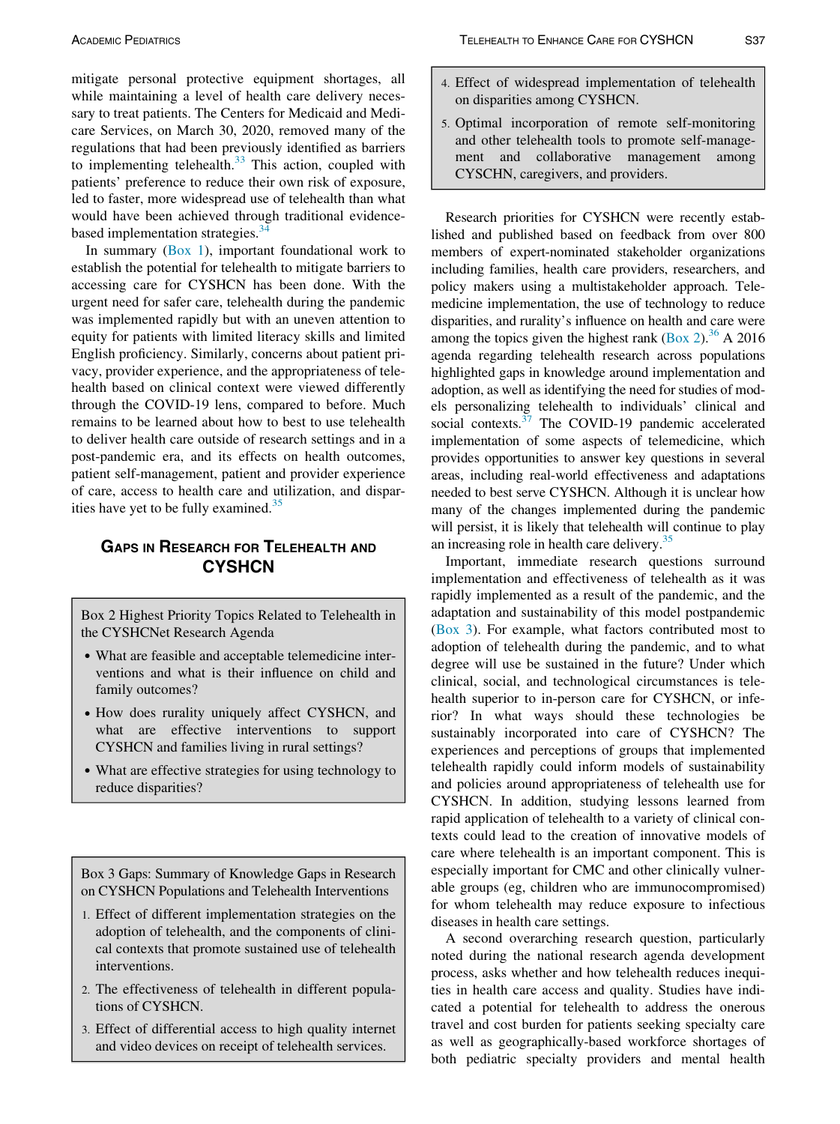mitigate personal protective equipment shortages, all while maintaining a level of health care delivery necessary to treat patients. The Centers for Medicaid and Medicare Services, on March 30, 2020, removed many of the regulations that had been previously identified as barriers to implementing telehealth.<sup>[33](#page-6-32)</sup> This action, coupled with patients' preference to reduce their own risk of exposure, led to faster, more widespread use of telehealth than what would have been achieved through traditional evidencebased implementation strategies. $34$ 

In summary  $(Box 1)$ , important foundational work to establish the potential for telehealth to mitigate barriers to accessing care for CYSHCN has been done. With the urgent need for safer care, telehealth during the pandemic was implemented rapidly but with an uneven attention to equity for patients with limited literacy skills and limited English proficiency. Similarly, concerns about patient privacy, provider experience, and the appropriateness of telehealth based on clinical context were viewed differently through the COVID-19 lens, compared to before. Much remains to be learned about how to best to use telehealth to deliver health care outside of research settings and in a post-pandemic era, and its effects on health outcomes, patient self-management, patient and provider experience of care, access to health care and utilization, and disparities have yet to be fully examined. $35$ 

## GAPS IN RESEARCH FOR TELEHEALTH AND **CYSHCN**

Box 2 Highest Priority Topics Related to Telehealth in the CYSHCNet Research Agenda

- What are feasible and acceptable telemedicine interventions and what is their influence on child and family outcomes?
- How does rurality uniquely affect CYSHCN, and what are effective interventions to support CYSHCN and families living in rural settings?
- What are effective strategies for using technology to reduce disparities?

Box 3 Gaps: Summary of Knowledge Gaps in Research on CYSHCN Populations and Telehealth Interventions

- 1. Effect of different implementation strategies on the adoption of telehealth, and the components of clinical contexts that promote sustained use of telehealth interventions.
- 2. The effectiveness of telehealth in different populations of CYSHCN.
- 3. Effect of differential access to high quality internet and video devices on receipt of telehealth services.
- 4. Effect of widespread implementation of telehealth on disparities among CYSHCN.
- 5. Optimal incorporation of remote self-monitoring and other telehealth tools to promote self-management and collaborative management among CYSCHN, caregivers, and providers.

Research priorities for CYSHCN were recently established and published based on feedback from over 800 members of expert-nominated stakeholder organizations including families, health care providers, researchers, and policy makers using a multistakeholder approach. Telemedicine implementation, the use of technology to reduce disparities, and rurality's influence on health and care were among the topics given the highest rank (Box 2).<sup>[36](#page-6-35)</sup> A 2016 agenda regarding telehealth research across populations highlighted gaps in knowledge around implementation and adoption, as well as identifying the need for studies of models personalizing telehealth to individuals' clinical and social contexts. $37$  The COVID-19 pandemic accelerated implementation of some aspects of telemedicine, which provides opportunities to answer key questions in several areas, including real-world effectiveness and adaptations needed to best serve CYSHCN. Although it is unclear how many of the changes implemented during the pandemic will persist, it is likely that telehealth will continue to play an increasing role in health care delivery.<sup>35</sup>

Important, immediate research questions surround implementation and effectiveness of telehealth as it was rapidly implemented as a result of the pandemic, and the adaptation and sustainability of this model postpandemic (Box 3). For example, what factors contributed most to adoption of telehealth during the pandemic, and to what degree will use be sustained in the future? Under which clinical, social, and technological circumstances is telehealth superior to in-person care for CYSHCN, or inferior? In what ways should these technologies be sustainably incorporated into care of CYSHCN? The experiences and perceptions of groups that implemented telehealth rapidly could inform models of sustainability and policies around appropriateness of telehealth use for CYSHCN. In addition, studying lessons learned from rapid application of telehealth to a variety of clinical contexts could lead to the creation of innovative models of care where telehealth is an important component. This is especially important for CMC and other clinically vulnerable groups (eg, children who are immunocompromised) for whom telehealth may reduce exposure to infectious diseases in health care settings.

A second overarching research question, particularly noted during the national research agenda development process, asks whether and how telehealth reduces inequities in health care access and quality. Studies have indicated a potential for telehealth to address the onerous travel and cost burden for patients seeking specialty care as well as geographically-based workforce shortages of both pediatric specialty providers and mental health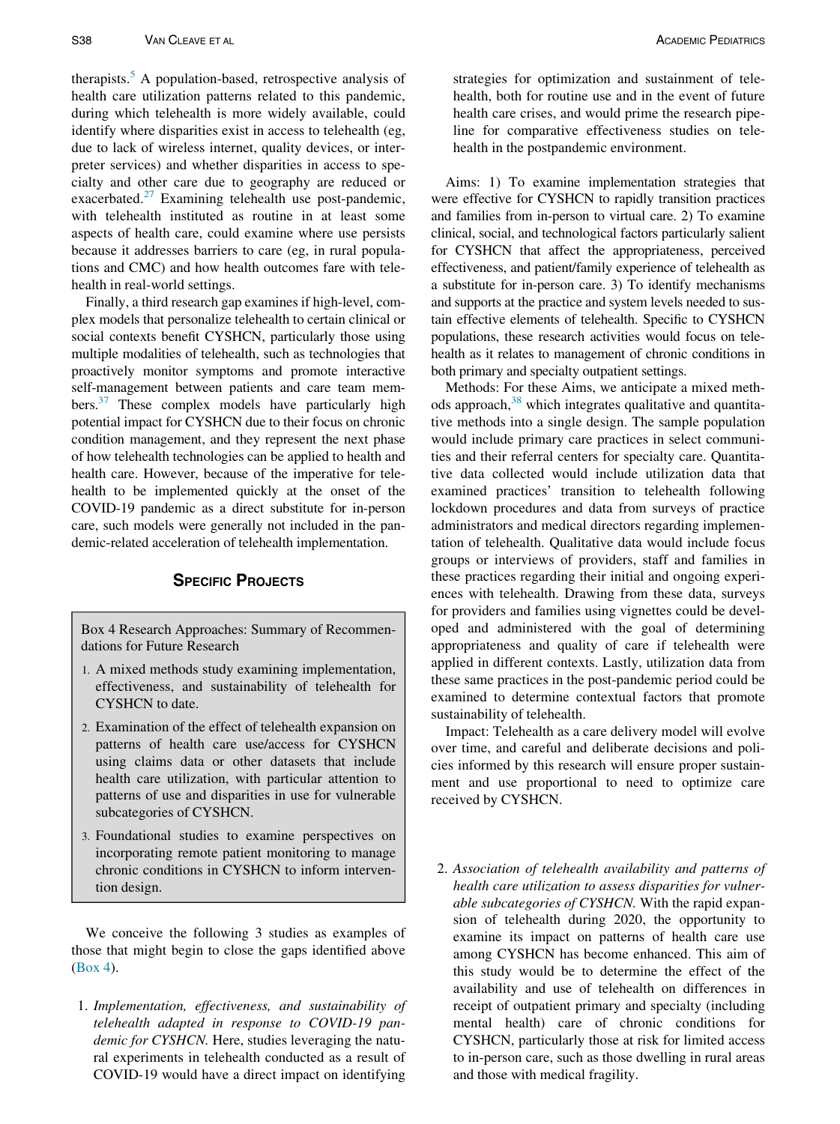therapists.<sup>[5](#page-6-4)</sup> A population-based, retrospective analysis of health care utilization patterns related to this pandemic, during which telehealth is more widely available, could identify where disparities exist in access to telehealth (eg, due to lack of wireless internet, quality devices, or interpreter services) and whether disparities in access to specialty and other care due to geography are reduced or exacerbated. $27$  Examining telehealth use post-pandemic, with telehealth instituted as routine in at least some aspects of health care, could examine where use persists because it addresses barriers to care (eg, in rural populations and CMC) and how health outcomes fare with telehealth in real-world settings.

Finally, a third research gap examines if high-level, complex models that personalize telehealth to certain clinical or social contexts benefit CYSHCN, particularly those using multiple modalities of telehealth, such as technologies that proactively monitor symptoms and promote interactive self-management between patients and care team members.<sup>37</sup> These complex models have particularly high potential impact for CYSHCN due to their focus on chronic condition management, and they represent the next phase of how telehealth technologies can be applied to health and health care. However, because of the imperative for telehealth to be implemented quickly at the onset of the COVID-19 pandemic as a direct substitute for in-person care, such models were generally not included in the pandemic-related acceleration of telehealth implementation.

#### SPECIFIC PROJECTS

Box 4 Research Approaches: Summary of Recommendations for Future Research

- 1. A mixed methods study examining implementation, effectiveness, and sustainability of telehealth for CYSHCN to date.
- 2. Examination of the effect of telehealth expansion on patterns of health care use/access for CYSHCN using claims data or other datasets that include health care utilization, with particular attention to patterns of use and disparities in use for vulnerable subcategories of CYSHCN.
- 3. Foundational studies to examine perspectives on incorporating remote patient monitoring to manage chronic conditions in CYSHCN to inform intervention design.

We conceive the following 3 studies as examples of those that might begin to close the gaps identified above (Box 4).

1. Implementation, effectiveness, and sustainability of telehealth adapted in response to COVID-19 pandemic for CYSHCN. Here, studies leveraging the natural experiments in telehealth conducted as a result of COVID-19 would have a direct impact on identifying

strategies for optimization and sustainment of telehealth, both for routine use and in the event of future health care crises, and would prime the research pipeline for comparative effectiveness studies on telehealth in the postpandemic environment.

Aims: 1) To examine implementation strategies that were effective for CYSHCN to rapidly transition practices and families from in-person to virtual care. 2) To examine clinical, social, and technological factors particularly salient for CYSHCN that affect the appropriateness, perceived effectiveness, and patient/family experience of telehealth as a substitute for in-person care. 3) To identify mechanisms and supports at the practice and system levels needed to sustain effective elements of telehealth. Specific to CYSHCN populations, these research activities would focus on telehealth as it relates to management of chronic conditions in both primary and specialty outpatient settings.

Methods: For these Aims, we anticipate a mixed meth-ods approach,<sup>[38](#page-6-37)</sup> which integrates qualitative and quantitative methods into a single design. The sample population would include primary care practices in select communities and their referral centers for specialty care. Quantitative data collected would include utilization data that examined practices' transition to telehealth following lockdown procedures and data from surveys of practice administrators and medical directors regarding implementation of telehealth. Qualitative data would include focus groups or interviews of providers, staff and families in these practices regarding their initial and ongoing experiences with telehealth. Drawing from these data, surveys for providers and families using vignettes could be developed and administered with the goal of determining appropriateness and quality of care if telehealth were applied in different contexts. Lastly, utilization data from these same practices in the post-pandemic period could be examined to determine contextual factors that promote sustainability of telehealth.

Impact: Telehealth as a care delivery model will evolve over time, and careful and deliberate decisions and policies informed by this research will ensure proper sustainment and use proportional to need to optimize care received by CYSHCN.

2. Association of telehealth availability and patterns of health care utilization to assess disparities for vulnerable subcategories of CYSHCN. With the rapid expansion of telehealth during 2020, the opportunity to examine its impact on patterns of health care use among CYSHCN has become enhanced. This aim of this study would be to determine the effect of the availability and use of telehealth on differences in receipt of outpatient primary and specialty (including mental health) care of chronic conditions for CYSHCN, particularly those at risk for limited access to in-person care, such as those dwelling in rural areas and those with medical fragility.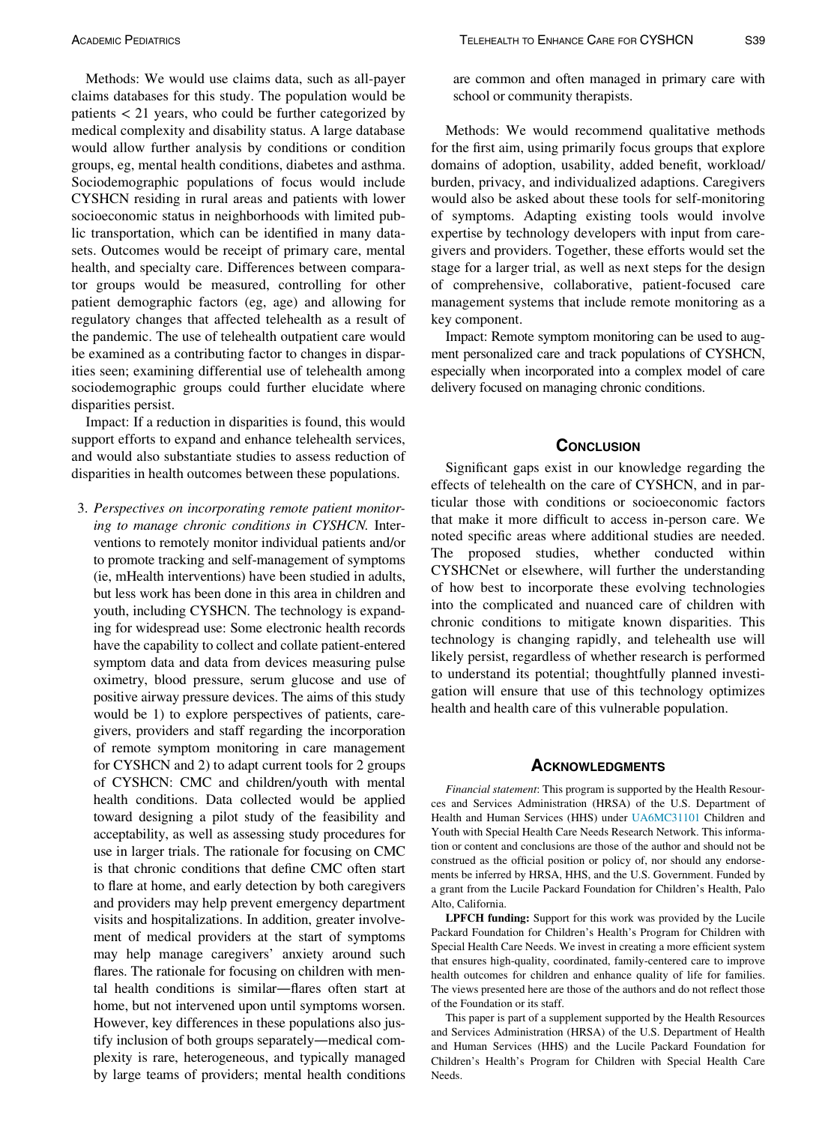Methods: We would use claims data, such as all-payer claims databases for this study. The population would be patients < 21 years, who could be further categorized by medical complexity and disability status. A large database would allow further analysis by conditions or condition groups, eg, mental health conditions, diabetes and asthma. Sociodemographic populations of focus would include CYSHCN residing in rural areas and patients with lower socioeconomic status in neighborhoods with limited public transportation, which can be identified in many datasets. Outcomes would be receipt of primary care, mental health, and specialty care. Differences between comparator groups would be measured, controlling for other patient demographic factors (eg, age) and allowing for regulatory changes that affected telehealth as a result of the pandemic. The use of telehealth outpatient care would be examined as a contributing factor to changes in disparities seen; examining differential use of telehealth among sociodemographic groups could further elucidate where disparities persist.

Impact: If a reduction in disparities is found, this would support efforts to expand and enhance telehealth services, and would also substantiate studies to assess reduction of disparities in health outcomes between these populations.

<span id="page-5-0"></span>3. Perspectives on incorporating remote patient monitoring to manage chronic conditions in CYSHCN. Interventions to remotely monitor individual patients and/or to promote tracking and self-management of symptoms (ie, mHealth interventions) have been studied in adults, but less work has been done in this area in children and youth, including CYSHCN. The technology is expanding for widespread use: Some electronic health records have the capability to collect and collate patient-entered symptom data and data from devices measuring pulse oximetry, blood pressure, serum glucose and use of positive airway pressure devices. The aims of this study would be 1) to explore perspectives of patients, caregivers, providers and staff regarding the incorporation of remote symptom monitoring in care management for CYSHCN and 2) to adapt current tools for 2 groups of CYSHCN: CMC and children/youth with mental health conditions. Data collected would be applied toward designing a pilot study of the feasibility and acceptability, as well as assessing study procedures for use in larger trials. The rationale for focusing on CMC is that chronic conditions that define CMC often start to flare at home, and early detection by both caregivers and providers may help prevent emergency department visits and hospitalizations. In addition, greater involvement of medical providers at the start of symptoms may help manage caregivers' anxiety around such flares. The rationale for focusing on children with mental health conditions is similar—flares often start at home, but not intervened upon until symptoms worsen. However, key differences in these populations also justify inclusion of both groups separately—medical complexity is rare, heterogeneous, and typically managed by large teams of providers; mental health conditions

are common and often managed in primary care with school or community therapists.

Methods: We would recommend qualitative methods for the first aim, using primarily focus groups that explore domains of adoption, usability, added benefit, workload/ burden, privacy, and individualized adaptions. Caregivers would also be asked about these tools for self-monitoring of symptoms. Adapting existing tools would involve expertise by technology developers with input from caregivers and providers. Together, these efforts would set the stage for a larger trial, as well as next steps for the design of comprehensive, collaborative, patient-focused care management systems that include remote monitoring as a key component.

Impact: Remote symptom monitoring can be used to augment personalized care and track populations of CYSHCN, especially when incorporated into a complex model of care delivery focused on managing chronic conditions.

#### **CONCLUSION**

Significant gaps exist in our knowledge regarding the effects of telehealth on the care of CYSHCN, and in particular those with conditions or socioeconomic factors that make it more difficult to access in-person care. We noted specific areas where additional studies are needed. The proposed studies, whether conducted within CYSHCNet or elsewhere, will further the understanding of how best to incorporate these evolving technologies into the complicated and nuanced care of children with chronic conditions to mitigate known disparities. This technology is changing rapidly, and telehealth use will likely persist, regardless of whether research is performed to understand its potential; thoughtfully planned investigation will ensure that use of this technology optimizes health and health care of this vulnerable population.

#### **ACKNOWLEDGMENTS**

Financial statement: This program is supported by the Health Resources and Services Administration (HRSA) of the U.S. Department of Health and Human Services (HHS) under [UA6MC31101](#page-5-0) Children and Youth with Special Health Care Needs Research Network. This information or content and conclusions are those of the author and should not be construed as the official position or policy of, nor should any endorsements be inferred by HRSA, HHS, and the U.S. Government. Funded by a grant from the Lucile Packard Foundation for Children's Health, Palo Alto, California.

LPFCH funding: Support for this work was provided by the Lucile Packard Foundation for Children's Health's Program for Children with Special Health Care Needs. We invest in creating a more efficient system that ensures high-quality, coordinated, family-centered care to improve health outcomes for children and enhance quality of life for families. The views presented here are those of the authors and do not reflect those of the Foundation or its staff.

This paper is part of a supplement supported by the Health Resources and Services Administration (HRSA) of the U.S. Department of Health and Human Services (HHS) and the Lucile Packard Foundation for Children's Health's Program for Children with Special Health Care Needs.